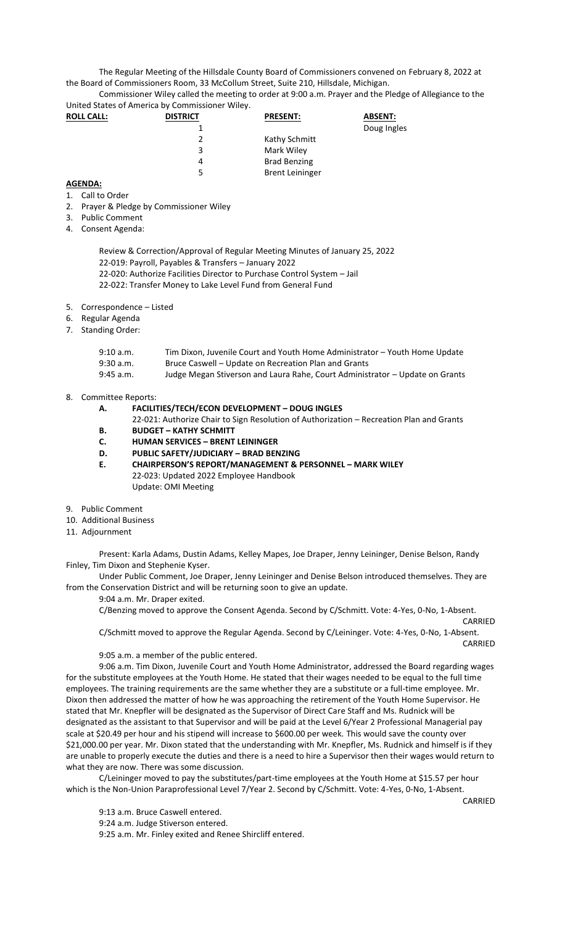The Regular Meeting of the Hillsdale County Board of Commissioners convened on February 8, 2022 at the Board of Commissioners Room, 33 McCollum Street, Suite 210, Hillsdale, Michigan.

Commissioner Wiley called the meeting to order at 9:00 a.m. Prayer and the Pledge of Allegiance to the United States of America by Commissioner Wiley.

| <b>ROLL CALL:</b> | <b>DISTRICT</b> | <b>PRESENT:</b>        | <b>ABSENT:</b> |
|-------------------|-----------------|------------------------|----------------|
|                   |                 |                        | Doug Ingles    |
|                   |                 | Kathy Schmitt          |                |
|                   | 3               | Mark Wiley             |                |
|                   | 4               | <b>Brad Benzing</b>    |                |
|                   | 5               | <b>Brent Leininger</b> |                |

## **AGENDA:**

- 1. Call to Order
- 2. Prayer & Pledge by Commissioner Wiley
- 3. Public Comment
- 4. Consent Agenda:
	- Review & Correction/Approval of Regular Meeting Minutes of January 25, 2022 22-019: Payroll, Payables & Transfers – January 2022
	- 22-020: Authorize Facilities Director to Purchase Control System Jail
	- 22-022: Transfer Money to Lake Level Fund from General Fund
- 5. Correspondence Listed
- 6. Regular Agenda
- 7. Standing Order:

| 9:10 a.m.   | Tim Dixon, Juvenile Court and Youth Home Administrator - Youth Home Update   |
|-------------|------------------------------------------------------------------------------|
| $9:30$ a.m. | Bruce Caswell – Update on Recreation Plan and Grants                         |
| $9:45$ a.m. | Judge Megan Stiverson and Laura Rahe, Court Administrator - Update on Grants |

## 8. Committee Reports:

**A. FACILITIES/TECH/ECON DEVELOPMENT – DOUG INGLES**

- 22-021: Authorize Chair to Sign Resolution of Authorization Recreation Plan and Grants
- **B. BUDGET – KATHY SCHMITT**
- **C. HUMAN SERVICES – BRENT LEININGER**
- **D. PUBLIC SAFETY/JUDICIARY – BRAD BENZING**
- **E. CHAIRPERSON'S REPORT/MANAGEMENT & PERSONNEL – MARK WILEY** 22-023: Updated 2022 Employee Handbook Update: OMI Meeting
- 9. Public Comment
- 10. Additional Business
- 11. Adjournment

Present: Karla Adams, Dustin Adams, Kelley Mapes, Joe Draper, Jenny Leininger, Denise Belson, Randy Finley, Tim Dixon and Stephenie Kyser.

Under Public Comment, Joe Draper, Jenny Leininger and Denise Belson introduced themselves. They are from the Conservation District and will be returning soon to give an update.

9:04 a.m. Mr. Draper exited.

C/Benzing moved to approve the Consent Agenda. Second by C/Schmitt. Vote: 4-Yes, 0-No, 1-Absent. CARRIED

C/Schmitt moved to approve the Regular Agenda. Second by C/Leininger. Vote: 4-Yes, 0-No, 1-Absent. CARRIED

9:05 a.m. a member of the public entered.

9:06 a.m. Tim Dixon, Juvenile Court and Youth Home Administrator, addressed the Board regarding wages for the substitute employees at the Youth Home. He stated that their wages needed to be equal to the full time employees. The training requirements are the same whether they are a substitute or a full-time employee. Mr. Dixon then addressed the matter of how he was approaching the retirement of the Youth Home Supervisor. He stated that Mr. Knepfler will be designated as the Supervisor of Direct Care Staff and Ms. Rudnick will be designated as the assistant to that Supervisor and will be paid at the Level 6/Year 2 Professional Managerial pay scale at \$20.49 per hour and his stipend will increase to \$600.00 per week. This would save the county over \$21,000.00 per year. Mr. Dixon stated that the understanding with Mr. Knepfler, Ms. Rudnick and himself is if they are unable to properly execute the duties and there is a need to hire a Supervisor then their wages would return to what they are now. There was some discussion.

C/Leininger moved to pay the substitutes/part-time employees at the Youth Home at \$15.57 per hour which is the Non-Union Paraprofessional Level 7/Year 2. Second by C/Schmitt. Vote: 4-Yes, 0-No, 1-Absent.

- 9:13 a.m. Bruce Caswell entered.
- 9:24 a.m. Judge Stiverson entered.

9:25 a.m. Mr. Finley exited and Renee Shircliff entered.

**CARRIED**